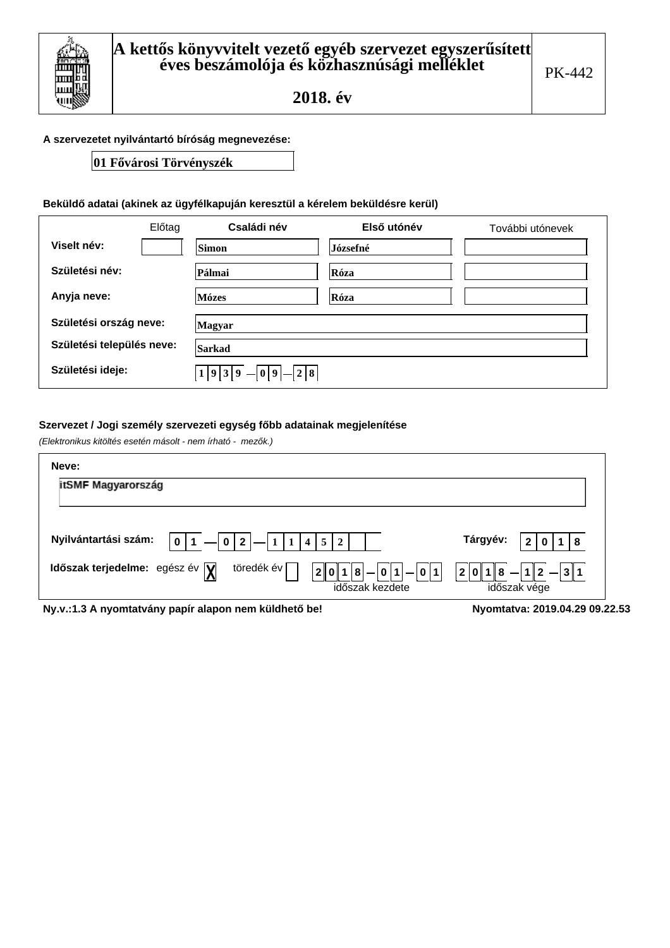#### A szervezetet nyilvántartó bíróság megnevezése:

# 01 Fővárosi Törvényszék

### Beküldő adatai (akinek az ügyfélkapuján keresztül a kérelem beküldésre kerül)

|                           | Előtag | Családi név           | Első utónév | További utónevek |  |  |
|---------------------------|--------|-----------------------|-------------|------------------|--|--|
| Viselt név:               |        | Simon                 | Józsefné    |                  |  |  |
| Születési név:            |        | Pálmai                | Róza        |                  |  |  |
| Anyja neve:               |        | Mózes                 | Róza        |                  |  |  |
| Születési ország neve:    |        | Magyar                |             |                  |  |  |
| Születési település neve: |        | Sarkad                |             |                  |  |  |
| Születési ideje:          |        | 2 8<br>1 9 3 9 <br>09 |             |                  |  |  |

#### Szervezet / Jogi személy szervezeti egység főbb adatainak megjelenítése

(Elektronikus kitöltés esetén másolt - nem írható - mezők.)

| Neve:                                                                                        |                                |
|----------------------------------------------------------------------------------------------|--------------------------------|
| itSMF Magyarország                                                                           |                                |
|                                                                                              |                                |
| Nyilvántartási szám:<br>$0 2 $ - 1 1 4 5 2<br>$\vert 0 \vert$                                | Tárgyév:<br>8                  |
| töredék év<br>Időszak terjedelme: egész év $\sqrt{\mathbf{y}}$<br>$ - 0 1 - 0 1 $<br>2 0 1 8 | $ 8 - 12  - 31$<br> 2 0 1      |
| időszak kezdete                                                                              | időszak vége                   |
| Ny.v.:1.3 A nyomtatvány papír alapon nem küldhető be!                                        | Nyomtatva: 2019.04.29 09.22.53 |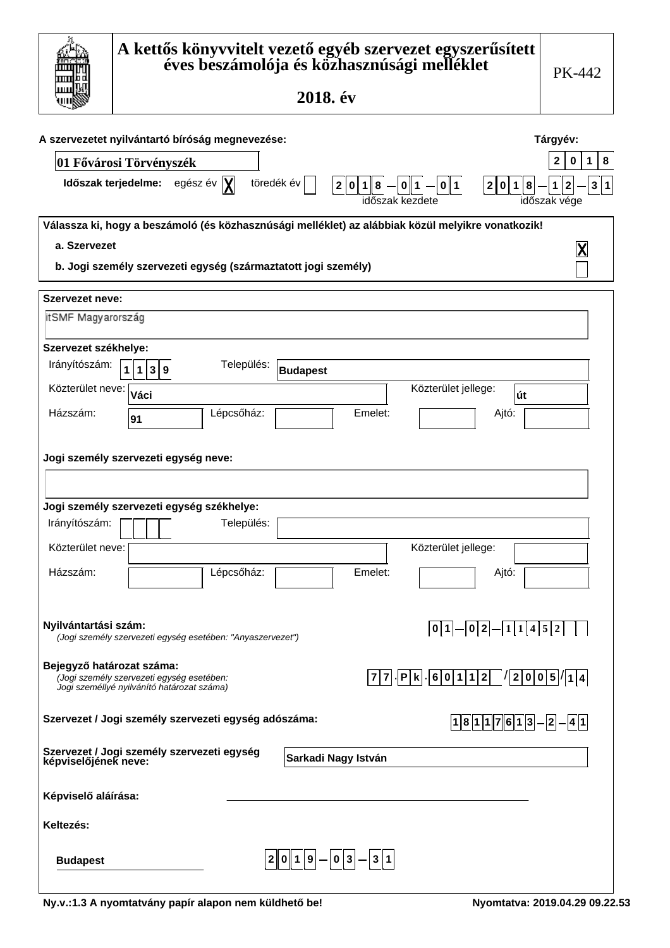|                                                                                                                                                                                                                                                                                                                        |                                                                                                                                                       | A kettős könyvvitelt vezető egyéb szervezet egyszerűsített<br>éves beszámolója és közhasznúsági melléklet<br>2018. év | PK-442 |  |  |  |  |
|------------------------------------------------------------------------------------------------------------------------------------------------------------------------------------------------------------------------------------------------------------------------------------------------------------------------|-------------------------------------------------------------------------------------------------------------------------------------------------------|-----------------------------------------------------------------------------------------------------------------------|--------|--|--|--|--|
| A szervezetet nyilvántartó bíróság megnevezése:<br>Tárgyév:<br>8<br>2<br>$\mathbf{1}$<br>0<br>01 Fővárosi Törvényszék<br>Időszak terjedelme: egész év  X <br>töredék év<br>3 1<br>$\pmb{8}$<br>$2 0 1 8 $ - $ 0 1 $ - $ 0 1 $<br>2 0 1 <br>időszak kezdete<br>időszak vége                                             |                                                                                                                                                       |                                                                                                                       |        |  |  |  |  |
| Válassza ki, hogy a beszámoló (és közhasznúsági melléklet) az alábbiak közül melyikre vonatkozik!<br>a. Szervezet<br>b. Jogi személy szervezeti egység (származtatott jogi személy)                                                                                                                                    |                                                                                                                                                       |                                                                                                                       |        |  |  |  |  |
| Szervezet neve:<br>itSMF Magyarország<br>Szervezet székhelye:                                                                                                                                                                                                                                                          |                                                                                                                                                       |                                                                                                                       |        |  |  |  |  |
| Irányítószám:<br>Közterület neve:<br>Házszám:                                                                                                                                                                                                                                                                          | Település:<br>$\mathbf{1}$<br>1 3 9<br>Váci<br>Lépcsőház:<br>91                                                                                       | <b>Budapest</b><br>Közterület jellege:<br> út<br>Emelet:<br>Ajtó:                                                     |        |  |  |  |  |
| Irányítószám:                                                                                                                                                                                                                                                                                                          | Jogi személy szervezeti egység neve:<br>Jogi személy szervezeti egység székhelye:<br>Település:                                                       |                                                                                                                       |        |  |  |  |  |
| Közterület neve:<br>Házszám:                                                                                                                                                                                                                                                                                           | Lépcsőház:                                                                                                                                            | Közterület jellege:<br>Emelet:<br>Ajtó:                                                                               |        |  |  |  |  |
|                                                                                                                                                                                                                                                                                                                        | Nyilvántartási szám:<br>$\boxed{0 1} - \boxed{0 2} - \boxed{1} \boxed{1} 4 \boxed{5} 2$<br>(Jogi személy szervezeti egység esetében: "Anyaszervezet") |                                                                                                                       |        |  |  |  |  |
| Bejegyző határozat száma:<br>$\left  \mathsf{P} \right  \mathsf{k} \left  \cdot \right  6 \left  0 \left  1 \left  1 \right  2 \right  \left  / \left  2 \right  0 \left  0 \right  5 \right  / \left  1 \right  4$<br> 7 7<br>(Jogi személy szervezeti egység esetében:<br>Jogi személlyé nyilvánító határozat száma) |                                                                                                                                                       |                                                                                                                       |        |  |  |  |  |
| Szervezet / Jogi személy szervezeti egység adószáma:<br>$18117613-2-41$                                                                                                                                                                                                                                                |                                                                                                                                                       |                                                                                                                       |        |  |  |  |  |
| Szervezet / Jogi személy szervezeti egység<br>képviselőjének neve:<br>Sarkadi Nagy István                                                                                                                                                                                                                              |                                                                                                                                                       |                                                                                                                       |        |  |  |  |  |
| Képviselő aláírása:<br>Keltezés:                                                                                                                                                                                                                                                                                       |                                                                                                                                                       |                                                                                                                       |        |  |  |  |  |
| <b>Budapest</b>                                                                                                                                                                                                                                                                                                        |                                                                                                                                                       | $ 2 0 1 9 - 0 3 -3 1$                                                                                                 |        |  |  |  |  |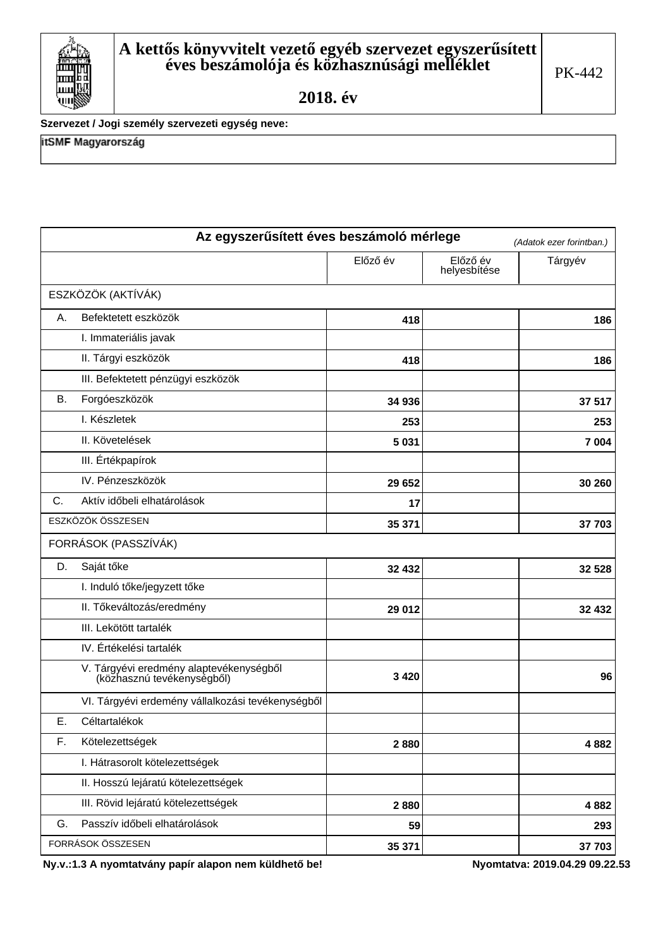

Szervezet / Jogi személy szervezeti egység neve:

itSMF Magyarország

| Az egyszerűsített éves beszámoló mérlege<br>(Adatok ezer forintban.) |                                                                       |          |                          |         |  |  |
|----------------------------------------------------------------------|-----------------------------------------------------------------------|----------|--------------------------|---------|--|--|
|                                                                      |                                                                       | Előző év | Előző év<br>helyesbítése | Tárgyév |  |  |
|                                                                      | ESZKÖZÖK (AKTÍVÁK)                                                    |          |                          |         |  |  |
| Α.                                                                   | Befektetett eszközök                                                  | 418      |                          | 186     |  |  |
|                                                                      | I. Immateriális javak                                                 |          |                          |         |  |  |
|                                                                      | II. Tárgyi eszközök                                                   | 418      |                          | 186     |  |  |
|                                                                      | III. Befektetett pénzügyi eszközök                                    |          |                          |         |  |  |
| <b>B.</b>                                                            | Forgóeszközök                                                         | 34 936   |                          | 37 517  |  |  |
|                                                                      | I. Készletek                                                          | 253      |                          | 253     |  |  |
|                                                                      | II. Követelések                                                       | 5 0 3 1  |                          | 7 0 0 4 |  |  |
|                                                                      | III. Értékpapírok                                                     |          |                          |         |  |  |
|                                                                      | IV. Pénzeszközök                                                      | 29 652   |                          | 30 260  |  |  |
| C.                                                                   | Aktív időbeli elhatárolások                                           | 17       |                          |         |  |  |
|                                                                      | ESZKÖZÖK ÖSSZESEN                                                     | 35 371   |                          | 37 703  |  |  |
|                                                                      | FORRÁSOK (PASSZÍVÁK)                                                  |          |                          |         |  |  |
| D.                                                                   | Saját tőke                                                            | 32 432   |                          | 32 528  |  |  |
|                                                                      | I. Induló tőke/jegyzett tőke                                          |          |                          |         |  |  |
|                                                                      | II. Tőkeváltozás/eredmény                                             | 29 012   |                          | 32 432  |  |  |
|                                                                      | III. Lekötött tartalék                                                |          |                          |         |  |  |
|                                                                      | IV. Értékelési tartalék                                               |          |                          |         |  |  |
|                                                                      | V. Tárgyévi eredmény alaptevékenységből<br>(közhasznú tevékenységből) | 3 4 2 0  |                          | 96      |  |  |
|                                                                      | VI. Tárgyévi erdemény vállalkozási tevékenységből                     |          |                          |         |  |  |
| Е.                                                                   | Céltartalékok                                                         |          |                          |         |  |  |
| F.                                                                   | Kötelezettségek                                                       | 2880     |                          | 4882    |  |  |
|                                                                      | I. Hátrasorolt kötelezettségek                                        |          |                          |         |  |  |
|                                                                      | II. Hosszú lejáratú kötelezettségek                                   |          |                          |         |  |  |
|                                                                      | III. Rövid lejáratú kötelezettségek                                   | 2880     |                          | 4882    |  |  |
| G.                                                                   | Passzív időbeli elhatárolások                                         | 59       |                          | 293     |  |  |
|                                                                      | FORRÁSOK ÖSSZESEN                                                     | 35 371   |                          | 37 703  |  |  |

Ny.v.:1.3 A nyomtatvány papír alapon nem küldhető be!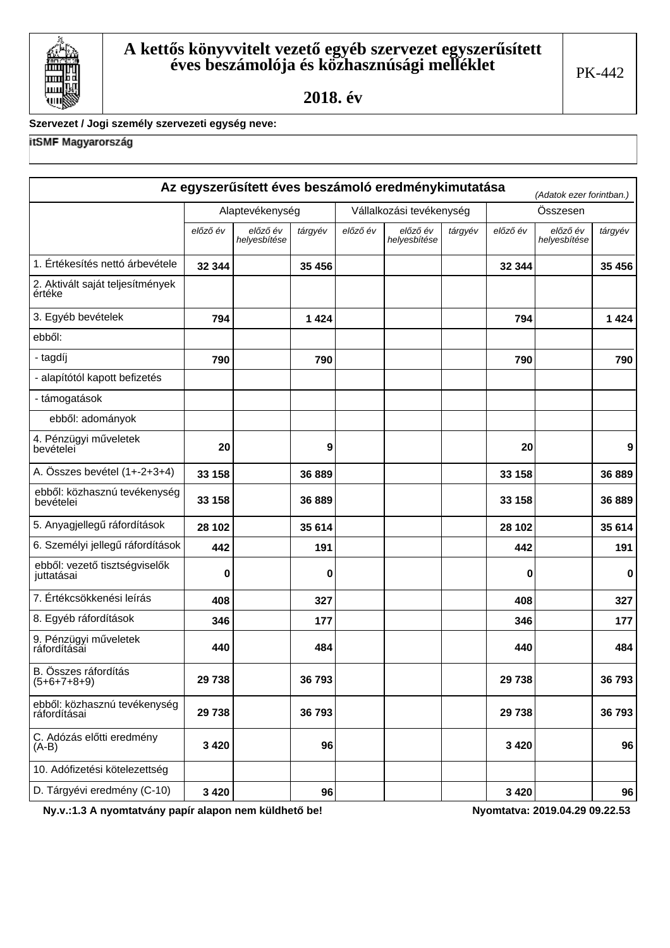

# Szervezet / Jogi személy szervezeti egység neve:

# itSMF Magyarország

|                                              |                 |                          |         |                          | Az egyszerűsített éves beszámoló eredménykimutatása |         |          | (Adatok ezer forintban.) |         |
|----------------------------------------------|-----------------|--------------------------|---------|--------------------------|-----------------------------------------------------|---------|----------|--------------------------|---------|
|                                              | Alaptevékenység |                          |         | Vállalkozási tevékenység |                                                     |         |          | Összesen                 |         |
|                                              | előző év        | előző év<br>helyesbítése | tárgyév | előző év                 | előző év<br>helyesbítése                            | tárgyév | előző év | előző év<br>helyesbítése | tárgyév |
| 1. Értékesítés nettó árbevétele              | 32 344          |                          | 35 456  |                          |                                                     |         | 32 344   |                          | 35 456  |
| 2. Aktivált saját teljesítmények<br>értéke   |                 |                          |         |                          |                                                     |         |          |                          |         |
| 3. Egyéb bevételek                           | 794             |                          | 1424    |                          |                                                     |         | 794      |                          | 1424    |
| ebből:                                       |                 |                          |         |                          |                                                     |         |          |                          |         |
| - tagdíj                                     | 790             |                          | 790     |                          |                                                     |         | 790      |                          | 790     |
| - alapítótól kapott befizetés                |                 |                          |         |                          |                                                     |         |          |                          |         |
| - támogatások                                |                 |                          |         |                          |                                                     |         |          |                          |         |
| ebből: adományok                             |                 |                          |         |                          |                                                     |         |          |                          |         |
| 4. Pénzügyi műveletek<br>bevételei           | 20              |                          | 9       |                          |                                                     |         | 20       |                          | 9       |
| A. Összes bevétel (1+-2+3+4)                 | 33 158          |                          | 36 889  |                          |                                                     |         | 33 158   |                          | 36 889  |
| ebből: közhasznú tevékenység<br>bevételei    | 33 158          |                          | 36 889  |                          |                                                     |         | 33 158   |                          | 36 889  |
| 5. Anyagjellegű ráfordítások                 | 28 10 2         |                          | 35 614  |                          |                                                     |         | 28 102   |                          | 35 614  |
| 6. Személyi jellegű ráfordítások             | 442             |                          | 191     |                          |                                                     |         | 442      |                          | 191     |
| ebből: vezető tisztségviselők<br>juttatásai  | 0               |                          | 0       |                          |                                                     |         | 0        |                          | 0       |
| 7. Értékcsökkenési leírás                    | 408             |                          | 327     |                          |                                                     |         | 408      |                          | 327     |
| 8. Egyéb ráfordítások                        | 346             |                          | 177     |                          |                                                     |         | 346      |                          | 177     |
| 9. Pénzügyi műveletek<br>ráfordításai        | 440             |                          | 484     |                          |                                                     |         | 440      |                          | 484     |
| B. Összes ráfordítás<br>$(5+6+7+8+9)$        | 29 738          |                          | 36 793  |                          |                                                     |         | 29 738   |                          | 36 793  |
| ebből: közhasznú tevékenység<br>ráfordításai | 29 738          |                          | 36 793  |                          |                                                     |         | 29 738   |                          | 36 793  |
| C. Adózás előtti eredmény<br>$(A-B)$         | 3 4 2 0         |                          | 96      |                          |                                                     |         | 3 4 2 0  |                          | 96      |
| 10. Adófizetési kötelezettség                |                 |                          |         |                          |                                                     |         |          |                          |         |
| D. Tárgyévi eredmény (C-10)                  | 3 4 2 0         |                          | 96      |                          |                                                     |         | 3 4 2 0  |                          | 96      |

Ny.v.:1.3 A nyomtatvány papír alapon nem küldhető be!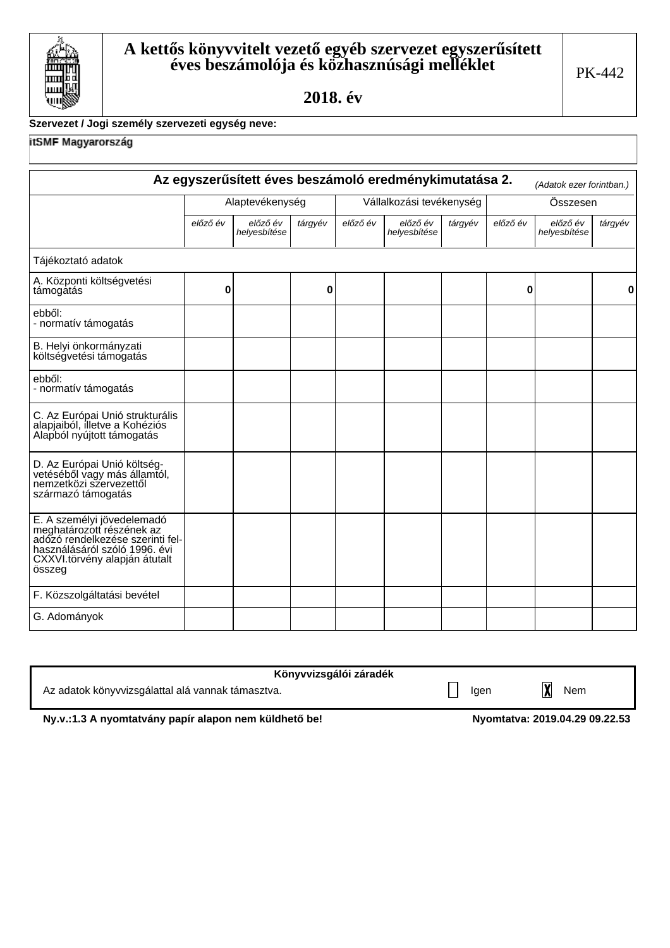

#### Szervezet / Jogi személy szervezeti egység neve:

itSMF Magyarország

|                                                                                                                                                                         |                 |                          |         |                          | Az egyszerűsített éves beszámoló eredménykimutatása 2. |         |          | (Adatok ezer forintban.) |         |
|-------------------------------------------------------------------------------------------------------------------------------------------------------------------------|-----------------|--------------------------|---------|--------------------------|--------------------------------------------------------|---------|----------|--------------------------|---------|
|                                                                                                                                                                         | Alaptevékenység |                          |         | Vállalkozási tevékenység |                                                        |         | Összesen |                          |         |
|                                                                                                                                                                         | előző év        | előző év<br>helyesbítése | tárgyév | előző év                 | előző év<br>helyesbítése                               | tárgyév | előző év | előző év<br>helyesbítése | tárgyév |
| Tájékoztató adatok                                                                                                                                                      |                 |                          |         |                          |                                                        |         |          |                          |         |
| A. Központi költségvetési<br>támogatás                                                                                                                                  | 0               |                          | 0       |                          |                                                        |         | 0        |                          | 0       |
| ebből:<br>- normatív támogatás                                                                                                                                          |                 |                          |         |                          |                                                        |         |          |                          |         |
| B. Helyi önkormányzati<br>költségvetési támogatás                                                                                                                       |                 |                          |         |                          |                                                        |         |          |                          |         |
| ebből:<br>- normatív támogatás                                                                                                                                          |                 |                          |         |                          |                                                        |         |          |                          |         |
| C. Az Európai Unió strukturális<br>alapjaiból, illetve a Kohéziós<br>Alapból nyújtott támogatás                                                                         |                 |                          |         |                          |                                                        |         |          |                          |         |
| D. Az Európai Unió költség-<br>vetéséből vagy más államtól,<br>nemzetközi szervezettől<br>származó támogatás                                                            |                 |                          |         |                          |                                                        |         |          |                          |         |
| E. A személyi jövedelemadó<br>meghatározott részének az<br>adózó rendelkezése szerinti fel-<br>használásáról szóló 1996. évi<br>CXXVI.törvény alapján átutalt<br>összeg |                 |                          |         |                          |                                                        |         |          |                          |         |
| F. Közszolgáltatási bevétel                                                                                                                                             |                 |                          |         |                          |                                                        |         |          |                          |         |
| G. Adományok                                                                                                                                                            |                 |                          |         |                          |                                                        |         |          |                          |         |

| Könyvvizsgálói záradék                            |      |                         |     |
|---------------------------------------------------|------|-------------------------|-----|
| Az adatok könyvvizsgálattal alá vannak támasztva. | lgen | $\overline{\mathbf{X}}$ | Nem |

Ny.v.:1.3 A nyomtatvány papír alapon nem küldhető be!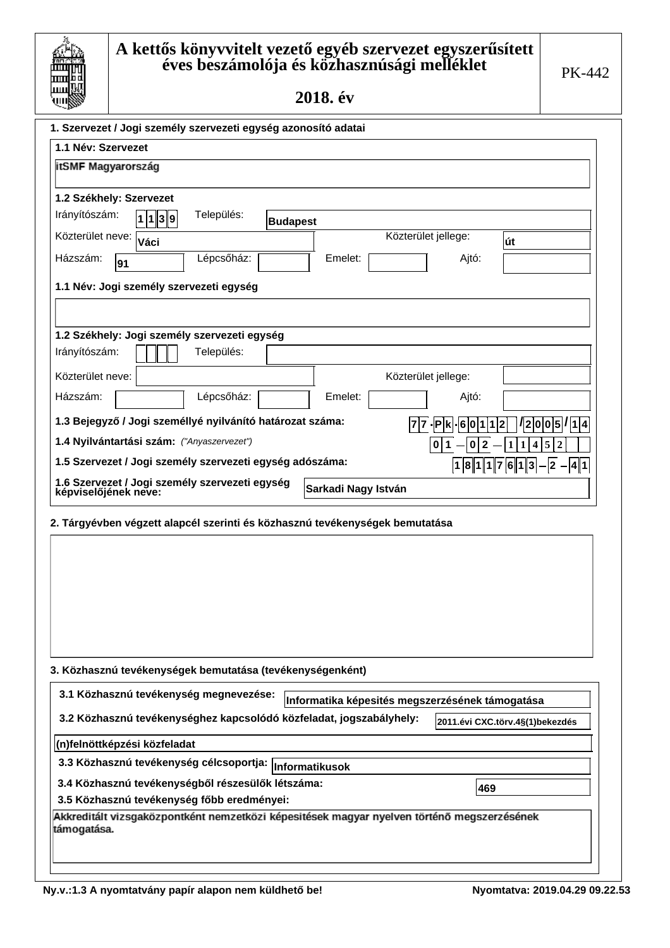| ш       |
|---------|
|         |
| Ш       |
| ш       |
|         |
| d<br>UΙ |
|         |

| 1. Szervezet / Jogi személy szervezeti egység azonosító adatai                                            |               |                                 |
|-----------------------------------------------------------------------------------------------------------|---------------|---------------------------------|
| 1.1 Név: Szervezet                                                                                        |               |                                 |
| itSMF Magyarország                                                                                        |               |                                 |
|                                                                                                           |               |                                 |
| 1.2 Székhely: Szervezet                                                                                   |               |                                 |
| Irányítószám:<br>Település:<br>1139<br><b>Budapest</b>                                                    |               |                                 |
| Közterület jellege:<br>Közterület neve:<br>Váci                                                           |               | út                              |
| Lépcsőház:<br>Házszám:<br>Emelet:<br>91                                                                   | Ajtó:         |                                 |
| 1.1 Név: Jogi személy szervezeti egység                                                                   |               |                                 |
|                                                                                                           |               |                                 |
| 1.2 Székhely: Jogi személy szervezeti egység                                                              |               |                                 |
| Irányítószám:<br>Település:                                                                               |               |                                 |
| Közterület neve:<br>Közterület jellege:                                                                   |               |                                 |
| Házszám:<br>Lépcsőház:<br>Emelet:                                                                         | Ajtó:         |                                 |
| 1.3 Bejegyző / Jogi személlyé nyilvánító határozat száma:<br> 7 7                                         | . P k<br>-601 | $\frac{1}{2}  0 0 5 1 1 4$      |
| 1.4 Nyilvántartási szám: ("Anyaszervezet")                                                                | 0 1           | 5<br>$\overline{2}$<br>4        |
| 1.5 Szervezet / Jogi személy szervezeti egység adószáma:                                                  | 181176113     | 2<br>41                         |
| 1.6 Szervezet / Jogi személy szervezeti egység<br>Sarkadi Nagy István<br>képviselőjének neve:             |               |                                 |
|                                                                                                           |               |                                 |
| 2. Tárgyévben végzett alapcél szerinti és közhasznú tevékenységek bemutatása                              |               |                                 |
|                                                                                                           |               |                                 |
|                                                                                                           |               |                                 |
|                                                                                                           |               |                                 |
|                                                                                                           |               |                                 |
|                                                                                                           |               |                                 |
|                                                                                                           |               |                                 |
|                                                                                                           |               |                                 |
| 3. Közhasznú tevékenységek bemutatása (tevékenységenként)                                                 |               |                                 |
| 3.1 Közhasznú tevékenység megnevezése:<br>Informatika képesités megszerzésének támogatása                 |               |                                 |
| 3.2 Közhasznú tevékenységhez kapcsolódó közfeladat, jogszabályhely:                                       |               | 2011.évi CXC.törv.4§(1)bekezdés |
| (n)felnöttképzési közfeladat                                                                              |               |                                 |
| 3.3 Közhasznú tevékenység célcsoportja:<br>Informatikusok                                                 |               |                                 |
| 3.4 Közhasznú tevékenységből részesülők létszáma:                                                         | 469           |                                 |
| 3.5 Közhasznú tevékenység főbb eredményei:                                                                |               |                                 |
| Akkreditált vizsgaközpontként nemzetközi képesitések magyar nyelven történő megszerzésének<br>támogatása. |               |                                 |
|                                                                                                           |               |                                 |
|                                                                                                           |               |                                 |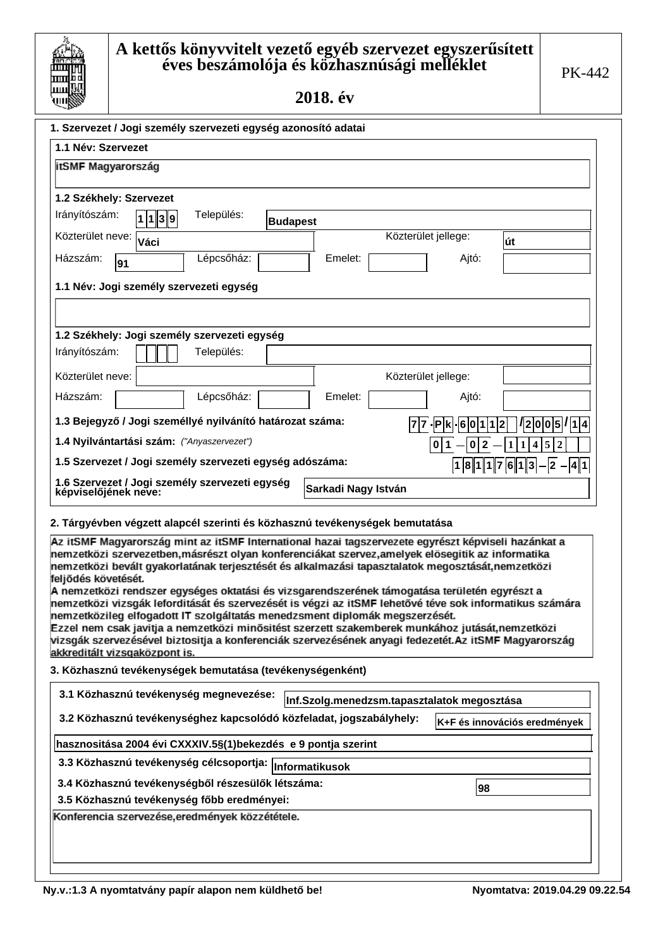

г

# ${\mathbf A}$  kettős könyvvitelt vezető egyéb szervezet egyszerűsített éves beszámolója és közhasznúsági melléklet

2018. év

| 1. Szervezet / Jogi személy szervezeti egység azonosító adatai                                                                                                                                                                                                                                                                                                                                                                                                                                                                             |         |                     |                      |  |  |
|--------------------------------------------------------------------------------------------------------------------------------------------------------------------------------------------------------------------------------------------------------------------------------------------------------------------------------------------------------------------------------------------------------------------------------------------------------------------------------------------------------------------------------------------|---------|---------------------|----------------------|--|--|
| 1.1 Név: Szervezet                                                                                                                                                                                                                                                                                                                                                                                                                                                                                                                         |         |                     |                      |  |  |
| itSMF Magyarország                                                                                                                                                                                                                                                                                                                                                                                                                                                                                                                         |         |                     |                      |  |  |
|                                                                                                                                                                                                                                                                                                                                                                                                                                                                                                                                            |         |                     |                      |  |  |
| 1.2 Székhely: Szervezet                                                                                                                                                                                                                                                                                                                                                                                                                                                                                                                    |         |                     |                      |  |  |
| Irányítószám:<br>Település:<br> 1  1  3  9 <br><b>Budapest</b>                                                                                                                                                                                                                                                                                                                                                                                                                                                                             |         |                     |                      |  |  |
| Közterület neve: Váci                                                                                                                                                                                                                                                                                                                                                                                                                                                                                                                      |         | Közterület jellege: | út                   |  |  |
| Lépcsőház:<br>Házszám:<br>91                                                                                                                                                                                                                                                                                                                                                                                                                                                                                                               | Emelet: | Ajtó:               |                      |  |  |
| 1.1 Név: Jogi személy szervezeti egység                                                                                                                                                                                                                                                                                                                                                                                                                                                                                                    |         |                     |                      |  |  |
|                                                                                                                                                                                                                                                                                                                                                                                                                                                                                                                                            |         |                     |                      |  |  |
| 1.2 Székhely: Jogi személy szervezeti egység                                                                                                                                                                                                                                                                                                                                                                                                                                                                                               |         |                     |                      |  |  |
| Irányítószám:<br>Település:                                                                                                                                                                                                                                                                                                                                                                                                                                                                                                                |         |                     |                      |  |  |
| Közterület neve:                                                                                                                                                                                                                                                                                                                                                                                                                                                                                                                           |         | Közterület jellege: |                      |  |  |
| Házszám:<br>Lépcsőház:                                                                                                                                                                                                                                                                                                                                                                                                                                                                                                                     | Emelet: | Ajtó:               |                      |  |  |
| 1.3 Bejegyző / Jogi személlyé nyilvánító határozat száma:                                                                                                                                                                                                                                                                                                                                                                                                                                                                                  |         | 77-Pk<br>-601       | 5 / 1 4<br>210<br>I٥ |  |  |
| 1.4 Nyilvántartási szám: ("Anyaszervezet")                                                                                                                                                                                                                                                                                                                                                                                                                                                                                                 |         | 0<br>1              | 5                    |  |  |
| 1.5 Szervezet / Jogi személy szervezeti egység adószáma:                                                                                                                                                                                                                                                                                                                                                                                                                                                                                   |         | 181176113           | 2<br>141             |  |  |
| 1.6 Szervezet / Jogi személy szervezeti egység<br>Sarkadi Nagy István<br>képviselőjének neve:                                                                                                                                                                                                                                                                                                                                                                                                                                              |         |                     |                      |  |  |
| 2. Tárgyévben végzett alapcél szerinti és közhasznú tevékenységek bemutatása                                                                                                                                                                                                                                                                                                                                                                                                                                                               |         |                     |                      |  |  |
| Az itSMF Magyarország mint az itSMF International hazai tagszervezete egyrészt képviseli hazánkat a<br>nemzetközi szervezetben, másrészt olyan konferenciákat szervez, amelyek elősegitik az informatika<br>nemzetközi bevált gyakorlatának terjesztését és alkalmazási tapasztalatok megosztását,nemzetközi<br>feljődés követését.<br>A nemzetközi rendszer egységes oktatási és vizsgarendszerének támogatása területén egyrészt a<br>settäsi visaalu lotaviltéakt ha asammahaht ja vhusi os itäät lokatävh thua ook intarnatikua oshuhu |         |                     |                      |  |  |

nemzetközi vizsgák leforditását és szervezését is végzi az itSMF lehetővé téve sok informatikus számára nemzetközileg elfogadott IT szolgáltatás menedzsment diplomák megszerzését.

Ezzel nem csak javitja a nemzetközi minősitést szerzett szakemberek munkához jutását,nemzetközi vizsgák szervezésével biztositja a konferenciák szervezésének anyagi fedezetét. Az itSMF Magyarország akkreditált vizsgaközpont is.

3. Közhasznú tevékenységek bemutatása (tevékenységenként)

| 3.1 Közhasznú tevékenység megnevezése:<br>Inf.Szolg.menedzsm.tapasztalatok megosztása |                              |  |  |  |  |
|---------------------------------------------------------------------------------------|------------------------------|--|--|--|--|
| 3.2 Közhasznú tevékenységhez kapcsolódó közfeladat, jogszabályhely:                   | K+F és innovációs eredmények |  |  |  |  |
| hasznositása 2004 évi CXXXIV.5§(1)bekezdés e 9 pontja szerint                         |                              |  |  |  |  |
| 3.3 Közhasznú tevékenység célcsoportja: Informatikusok                                |                              |  |  |  |  |
| 3.4 Közhasznú tevékenységből részesülők létszáma:                                     | 98                           |  |  |  |  |
| 3.5 Közhasznú tevékenység főbb eredményei:                                            |                              |  |  |  |  |
| Konferencia szervezése, eredmények közzététele.                                       |                              |  |  |  |  |
|                                                                                       |                              |  |  |  |  |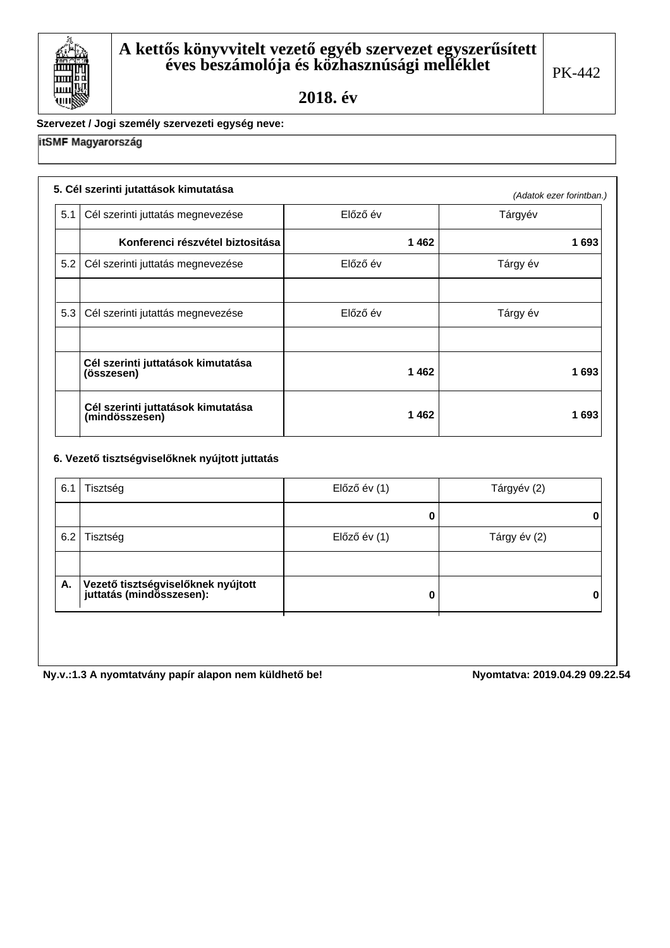

### Szervezet / Jogi személy szervezeti egység neve:

## itSMF Magyarország

|     | 5. Cél szerinti jutattások kimutatása                |          | (Adatok ezer forintban.) |
|-----|------------------------------------------------------|----------|--------------------------|
| 5.1 | Cél szerinti juttatás megnevezése                    | Előző év | Tárgyév                  |
|     | Konferenci részvétel biztositása                     | 1462     | 1693                     |
| 5.2 | Cél szerinti juttatás megnevezése                    | Előző év | Tárgy év                 |
|     |                                                      |          |                          |
| 5.3 | Cél szerinti jutattás megnevezése                    | Előző év | Tárgy év                 |
|     |                                                      |          |                          |
|     | Cél szerinti juttatások kimutatása<br>(összesen)     | 1462     | 1693                     |
|     | Cél szerinti juttatások kimutatása<br>(mindösszesen) | 1462     | 1693                     |

#### 6. Vezető tisztségviselőknek nyújtott juttatás

| 6.1 | Tisztség                                                       | Előző év (1) | Tárgyév (2)  |
|-----|----------------------------------------------------------------|--------------|--------------|
|     |                                                                | 0            | 0            |
| 6.2 | Tisztség                                                       | Előző év (1) | Tárgy év (2) |
|     |                                                                |              |              |
| Α.  | Vezető tisztségviselőknek nyújtott<br>juttatás (mindösszesen): | 0            | 0            |

Ny.v.:1.3 A nyomtatvány papír alapon nem küldhető be!<br> **12.3 A nyomtatvány papír alapon nem küldhető be!**<br>
12.54 **Nyomtatva: 2019.04.29 09.22.54**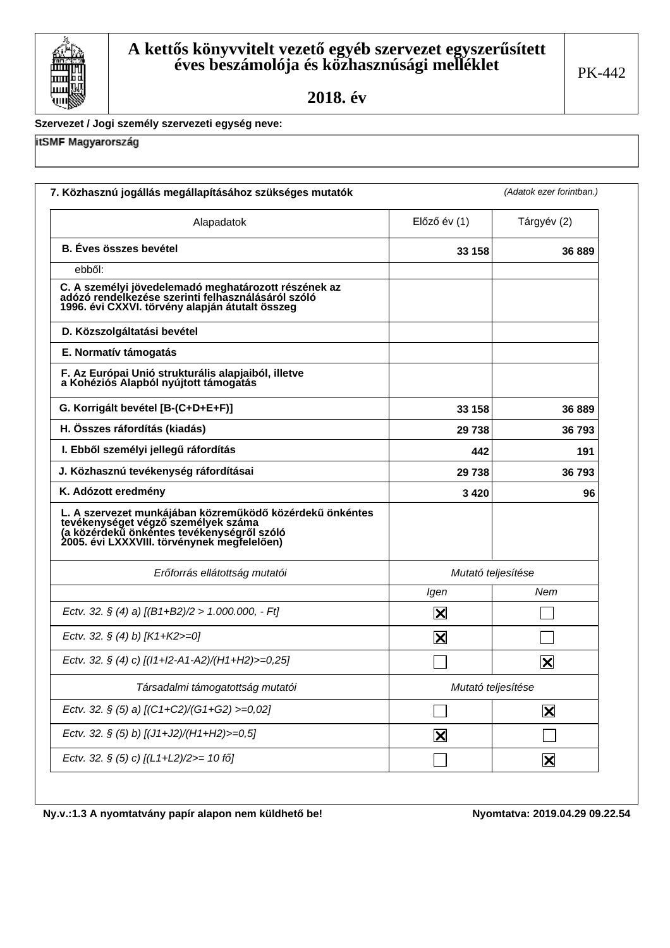

#### Szervezet / Jogi személy szervezeti egység neve:

itSMF Magyarország

| Alapadatok                                                                                                                                                                                   | Előző év (1)            | Tárgyév (2)             |  |
|----------------------------------------------------------------------------------------------------------------------------------------------------------------------------------------------|-------------------------|-------------------------|--|
| <b>B.</b> Éves összes bevétel                                                                                                                                                                | 33 158                  | 36 889                  |  |
| ebből:                                                                                                                                                                                       |                         |                         |  |
| C. A személyi jövedelemadó meghatározott részének az<br>adózó rendelkezése szerinti felhasználásáról szóló<br>1996. évi CXXVI. törvény alapján átutalt összeg                                |                         |                         |  |
| D. Közszolgáltatási bevétel                                                                                                                                                                  |                         |                         |  |
| E. Normatív támogatás                                                                                                                                                                        |                         |                         |  |
| F. Az Európai Unió strukturális alapjaiból, illetve<br>a Kohéziós Alapból nyújtott támogatás                                                                                                 |                         |                         |  |
| G. Korrigált bevétel [B-(C+D+E+F)]                                                                                                                                                           | 33 158                  | 36 889                  |  |
| H. Összes ráfordítás (kiadás)                                                                                                                                                                | 29 738                  | 36 793                  |  |
| I. Ebből személyi jellegű ráfordítás                                                                                                                                                         | 442                     | 191                     |  |
| J. Közhasznú tevékenység ráfordításai                                                                                                                                                        | 29 738                  | 36 793                  |  |
| K. Adózott eredmény                                                                                                                                                                          | 3420                    | 96                      |  |
| L. A szervezet munkájában közreműködő közérdekű önkéntes<br>Ervékenységet végző személyek száma<br>(a közérdekű önkéntes tevékenységről szóló<br>2005. évi LXXXVIII. törvénynek megfelelően) |                         |                         |  |
| Erőforrás ellátottság mutatói                                                                                                                                                                |                         | Mutató teljesítése      |  |
|                                                                                                                                                                                              | Igen                    | Nem                     |  |
| Ectv. 32. § (4) a) $[(B1+B2)/2 > 1.000.000, -Ft]$                                                                                                                                            | X                       |                         |  |
| Ectv. 32. § (4) b) [K1+K2>=0]                                                                                                                                                                | X                       |                         |  |
| Ectv. 32. § (4) c) [(I1+I2-A1-A2)/(H1+H2)>=0,25]                                                                                                                                             |                         | X                       |  |
| Társadalmi támogatottság mutatói                                                                                                                                                             | Mutató teljesítése      |                         |  |
| Ectv. 32. § (5) a) [(C1+C2)/(G1+G2) >=0,02]                                                                                                                                                  |                         | $\overline{\mathbf{X}}$ |  |
| Ectv. 32. § (5) b) [(J1+J2)/(H1+H2)>=0,5]                                                                                                                                                    | $\overline{\mathsf{x}}$ |                         |  |
| Ectv. 32. § (5) c) [(L1+L2)/2>= 10 fő]                                                                                                                                                       |                         | $\overline{\mathbf{X}}$ |  |

Ny.v.:1.3 A nyomtatvány papír alapon nem küldhető be!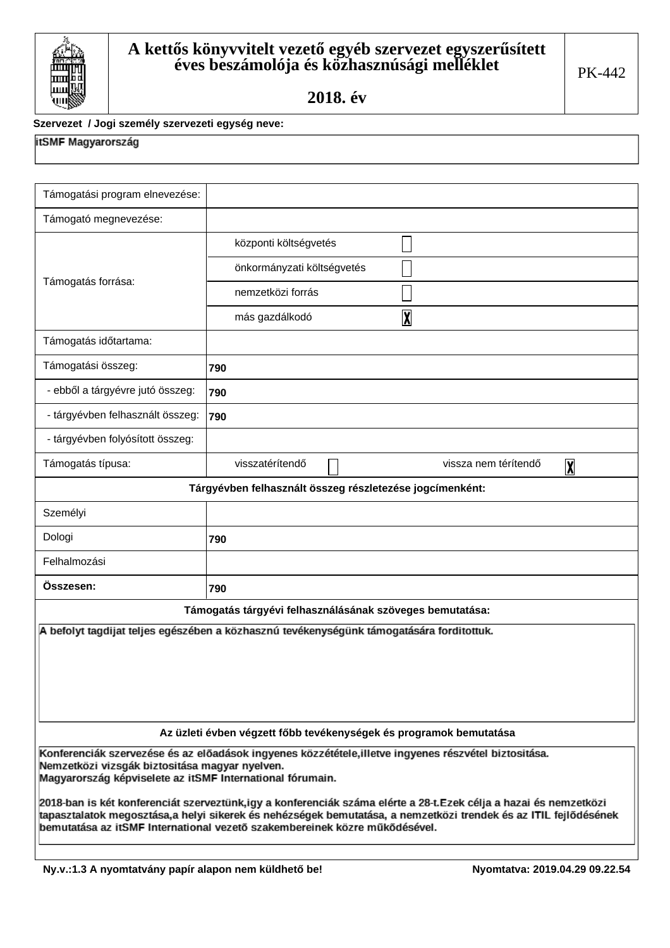

#### Szervezet / Jogi személy szervezeti egység neve:

# itSMF Magyarország

| Támogatási program elnevezése:                                                                                                                                                                                                                                                                                    |                                                                                          |  |  |  |  |  |
|-------------------------------------------------------------------------------------------------------------------------------------------------------------------------------------------------------------------------------------------------------------------------------------------------------------------|------------------------------------------------------------------------------------------|--|--|--|--|--|
| Támogató megnevezése:                                                                                                                                                                                                                                                                                             |                                                                                          |  |  |  |  |  |
|                                                                                                                                                                                                                                                                                                                   | központi költségvetés                                                                    |  |  |  |  |  |
|                                                                                                                                                                                                                                                                                                                   | önkormányzati költségvetés                                                               |  |  |  |  |  |
| Támogatás forrása:                                                                                                                                                                                                                                                                                                | nemzetközi forrás                                                                        |  |  |  |  |  |
|                                                                                                                                                                                                                                                                                                                   | $\overline{\mathbf{X}}$<br>más gazdálkodó                                                |  |  |  |  |  |
| Támogatás időtartama:                                                                                                                                                                                                                                                                                             |                                                                                          |  |  |  |  |  |
| Támogatási összeg:                                                                                                                                                                                                                                                                                                | 790                                                                                      |  |  |  |  |  |
| - ebből a tárgyévre jutó összeg:                                                                                                                                                                                                                                                                                  | 790                                                                                      |  |  |  |  |  |
| - tárgyévben felhasznált összeg:                                                                                                                                                                                                                                                                                  | 790                                                                                      |  |  |  |  |  |
| - tárgyévben folyósított összeg:                                                                                                                                                                                                                                                                                  |                                                                                          |  |  |  |  |  |
| Támogatás típusa:                                                                                                                                                                                                                                                                                                 | visszatérítendő<br>vissza nem térítendő<br>$\overline{\mathbf{X}}$                       |  |  |  |  |  |
|                                                                                                                                                                                                                                                                                                                   | Tárgyévben felhasznált összeg részletezése jogcímenként:                                 |  |  |  |  |  |
| Személyi                                                                                                                                                                                                                                                                                                          |                                                                                          |  |  |  |  |  |
| Dologi                                                                                                                                                                                                                                                                                                            | 790                                                                                      |  |  |  |  |  |
| Felhalmozási                                                                                                                                                                                                                                                                                                      |                                                                                          |  |  |  |  |  |
| Osszesen:                                                                                                                                                                                                                                                                                                         | 790                                                                                      |  |  |  |  |  |
|                                                                                                                                                                                                                                                                                                                   | Támogatás tárgyévi felhasználásának szöveges bemutatása:                                 |  |  |  |  |  |
|                                                                                                                                                                                                                                                                                                                   | A befolyt tagdijat teljes egészében a közhasznú tevékenységünk támogatására forditottuk. |  |  |  |  |  |
|                                                                                                                                                                                                                                                                                                                   |                                                                                          |  |  |  |  |  |
|                                                                                                                                                                                                                                                                                                                   |                                                                                          |  |  |  |  |  |
|                                                                                                                                                                                                                                                                                                                   |                                                                                          |  |  |  |  |  |
|                                                                                                                                                                                                                                                                                                                   |                                                                                          |  |  |  |  |  |
|                                                                                                                                                                                                                                                                                                                   | Az üzleti évben végzett főbb tevékenységek és programok bemutatása                       |  |  |  |  |  |
| Konferenciák szervezése és az előadások ingyenes közzététele,illetve ingyenes részvétel biztositása.<br>Nemzetközi vizsgák biztositása magyar nyelven.<br>Magyarország képviselete az itSMF International fórumain.                                                                                               |                                                                                          |  |  |  |  |  |
| 2018-ban is két konferenciát szerveztünk,igy a konferenciák száma elérte a 28-t.Ezek célja a hazai és nemzetközi<br>tapasztalatok megosztása,a helyi sikerek és nehézségek bemutatása, a nemzetközi trendek és az ITIL fejlődésének<br>bemutatása az itSMF International vezető szakembereinek közre műkődésével. |                                                                                          |  |  |  |  |  |